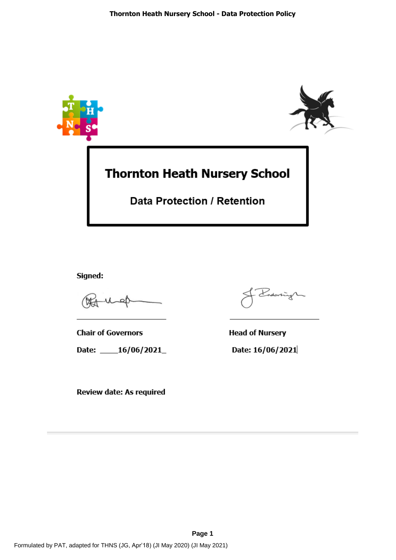

Signed:

**Chair of Governors** Date: \_\_\_\_16/06/2021\_

Review date: As required

Indonningh

**Head of Nursery** Date: 16/06/2021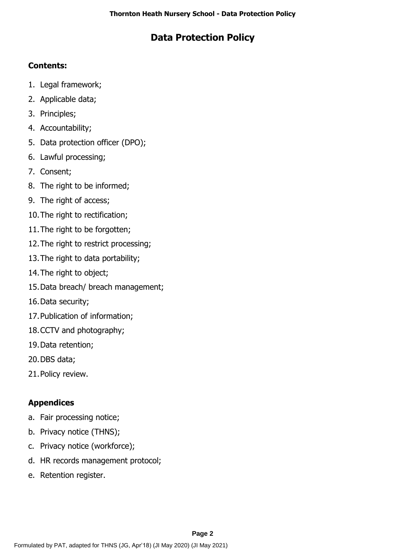# **Data Protection Policy**

# **Contents:**

- 1. Legal framework;
- 2. Applicable data;
- 3. Principles;
- 4. Accountability;
- 5. Data protection officer (DPO);
- 6. Lawful processing;
- 7. Consent;
- 8. The right to be informed;
- 9. The right of access;
- 10.The right to rectification;
- 11.The right to be forgotten;
- 12.The right to restrict processing;
- 13.The right to data portability;
- 14.The right to object;
- 15.Data breach/ breach management;
- 16.Data security;
- 17.Publication of information;
- 18.CCTV and photography;
- 19.Data retention;
- 20.DBS data;
- 21.Policy review.

# **Appendices**

- a. Fair processing notice;
- b. Privacy notice (THNS);
- c. Privacy notice (workforce);
- d. HR records management protocol;
- e. Retention register.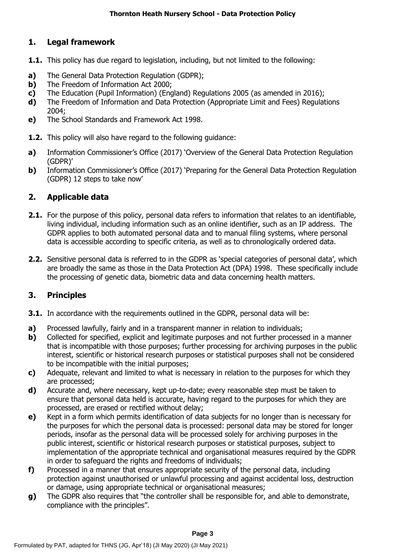### **1. Legal framework**

- **1.1.** This policy has due regard to legislation, including, but not limited to the following:
- **a)** The General Data Protection Regulation (GDPR);
- **b)** The Freedom of Information Act 2000:
- **c)** The Education (Pupil Information) (England) Regulations 2005 (as amended in 2016);
- **d)** The Freedom of Information and Data Protection (Appropriate Limit and Fees) Regulations 2004;
- **e)** The School Standards and Framework Act 1998.
- **1.2.** This policy will also have regard to the following guidance:
- **a)** Information Commissioner's Office (2017) 'Overview of the General Data Protection Regulation (GDPR)'
- **b)** Information Commissioner's Office (2017) 'Preparing for the General Data Protection Regulation (GDPR) 12 steps to take now'

### **2. Applicable data**

- **2.1.** For the purpose of this policy, personal data refers to information that relates to an identifiable, living individual, including information such as an online identifier, such as an IP address. The GDPR applies to both automated personal data and to manual filing systems, where personal data is accessible according to specific criteria, as well as to chronologically ordered data.
- **2.2.** Sensitive personal data is referred to in the GDPR as 'special categories of personal data', which are broadly the same as those in the Data Protection Act (DPA) 1998. These specifically include the processing of genetic data, biometric data and data concerning health matters.

### **3. Principles**

- **3.1.** In accordance with the requirements outlined in the GDPR, personal data will be:
- **a)** Processed lawfully, fairly and in a transparent manner in relation to individuals;
- **b)** Collected for specified, explicit and legitimate purposes and not further processed in a manner that is incompatible with those purposes; further processing for archiving purposes in the public interest, scientific or historical research purposes or statistical purposes shall not be considered to be incompatible with the initial purposes;
- **c)** Adequate, relevant and limited to what is necessary in relation to the purposes for which they are processed;
- **d)** Accurate and, where necessary, kept up-to-date; every reasonable step must be taken to ensure that personal data held is accurate, having regard to the purposes for which they are processed, are erased or rectified without delay;
- **e)** Kept in a form which permits identification of data subjects for no longer than is necessary for the purposes for which the personal data is processed: personal data may be stored for longer periods, insofar as the personal data will be processed solely for archiving purposes in the public interest, scientific or historical research purposes or statistical purposes, subject to implementation of the appropriate technical and organisational measures required by the GDPR in order to safeguard the rights and freedoms of individuals;
- **f)** Processed in a manner that ensures appropriate security of the personal data, including protection against unauthorised or unlawful processing and against accidental loss, destruction or damage, using appropriate technical or organisational measures;
- **g)** The GDPR also requires that "the controller shall be responsible for, and able to demonstrate, compliance with the principles".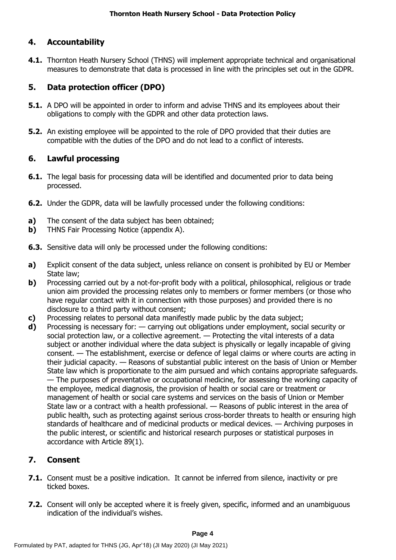## **4. Accountability**

**4.1.** Thornton Heath Nursery School (THNS) will implement appropriate technical and organisational measures to demonstrate that data is processed in line with the principles set out in the GDPR.

# **5. Data protection officer (DPO)**

- **5.1.** A DPO will be appointed in order to inform and advise THNS and its employees about their obligations to comply with the GDPR and other data protection laws.
- **5.2.** An existing employee will be appointed to the role of DPO provided that their duties are compatible with the duties of the DPO and do not lead to a conflict of interests.

## **6. Lawful processing**

- **6.1.** The legal basis for processing data will be identified and documented prior to data being processed.
- **6.2.** Under the GDPR, data will be lawfully processed under the following conditions:
- **a)** The consent of the data subject has been obtained;
- **b)** THNS Fair Processing Notice (appendix A).
- **6.3.** Sensitive data will only be processed under the following conditions:
- **a)** Explicit consent of the data subject, unless reliance on consent is prohibited by EU or Member State law;
- **b)** Processing carried out by a not-for-profit body with a political, philosophical, religious or trade union aim provided the processing relates only to members or former members (or those who have regular contact with it in connection with those purposes) and provided there is no disclosure to a third party without consent;
- **c)** Processing relates to personal data manifestly made public by the data subject;
- **d)** Processing is necessary for: carrying out obligations under employment, social security or social protection law, or a collective agreement. — Protecting the vital interests of a data subject or another individual where the data subject is physically or legally incapable of giving consent. — The establishment, exercise or defence of legal claims or where courts are acting in their judicial capacity. — Reasons of substantial public interest on the basis of Union or Member State law which is proportionate to the aim pursued and which contains appropriate safeguards. — The purposes of preventative or occupational medicine, for assessing the working capacity of the employee, medical diagnosis, the provision of health or social care or treatment or management of health or social care systems and services on the basis of Union or Member State law or a contract with a health professional. — Reasons of public interest in the area of public health, such as protecting against serious cross-border threats to health or ensuring high standards of healthcare and of medicinal products or medical devices. — Archiving purposes in the public interest, or scientific and historical research purposes or statistical purposes in accordance with Article 89(1).

# **7. Consent**

- **7.1.** Consent must be a positive indication. It cannot be inferred from silence, inactivity or pre ticked boxes.
- **7.2.** Consent will only be accepted where it is freely given, specific, informed and an unambiguous indication of the individual's wishes.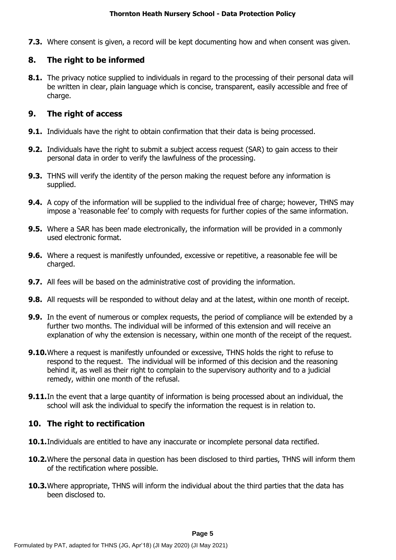**7.3.** Where consent is given, a record will be kept documenting how and when consent was given.

## **8. The right to be informed**

**8.1.** The privacy notice supplied to individuals in regard to the processing of their personal data will be written in clear, plain language which is concise, transparent, easily accessible and free of charge.

## **9. The right of access**

- **9.1.** Individuals have the right to obtain confirmation that their data is being processed.
- **9.2.** Individuals have the right to submit a subject access request (SAR) to gain access to their personal data in order to verify the lawfulness of the processing.
- **9.3.** THNS will verify the identity of the person making the request before any information is supplied.
- **9.4.** A copy of the information will be supplied to the individual free of charge; however, THNS may impose a 'reasonable fee' to comply with requests for further copies of the same information.
- **9.5.** Where a SAR has been made electronically, the information will be provided in a commonly used electronic format.
- **9.6.** Where a request is manifestly unfounded, excessive or repetitive, a reasonable fee will be charged.
- **9.7.** All fees will be based on the administrative cost of providing the information.
- **9.8.** All requests will be responded to without delay and at the latest, within one month of receipt.
- **9.9.** In the event of numerous or complex requests, the period of compliance will be extended by a further two months. The individual will be informed of this extension and will receive an explanation of why the extension is necessary, within one month of the receipt of the request.
- **9.10.**Where a request is manifestly unfounded or excessive, THNS holds the right to refuse to respond to the request. The individual will be informed of this decision and the reasoning behind it, as well as their right to complain to the supervisory authority and to a judicial remedy, within one month of the refusal.
- **9.11.** In the event that a large quantity of information is being processed about an individual, the school will ask the individual to specify the information the request is in relation to.

# **10. The right to rectification**

- **10.1.**Individuals are entitled to have any inaccurate or incomplete personal data rectified.
- **10.2.**Where the personal data in question has been disclosed to third parties, THNS will inform them of the rectification where possible.
- **10.3.**Where appropriate, THNS will inform the individual about the third parties that the data has been disclosed to.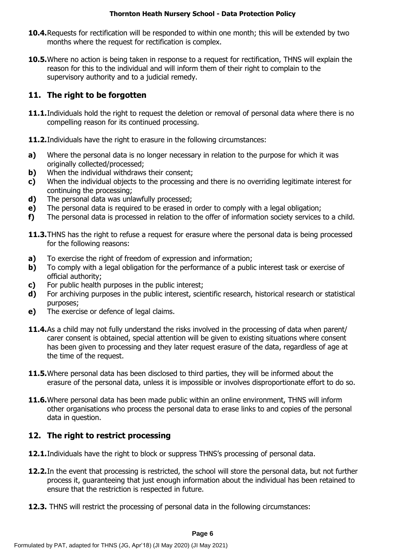- **10.4.**Requests for rectification will be responded to within one month; this will be extended by two months where the request for rectification is complex.
- **10.5.**Where no action is being taken in response to a request for rectification, THNS will explain the reason for this to the individual and will inform them of their right to complain to the supervisory authority and to a judicial remedy.

## **11. The right to be forgotten**

- **11.1.**Individuals hold the right to request the deletion or removal of personal data where there is no compelling reason for its continued processing.
- **11.2.** Individuals have the right to erasure in the following circumstances:
- **a)** Where the personal data is no longer necessary in relation to the purpose for which it was originally collected/processed;
- **b)** When the individual withdraws their consent;
- **c)** When the individual objects to the processing and there is no overriding legitimate interest for continuing the processing;
- **d)** The personal data was unlawfully processed;
- **e)** The personal data is required to be erased in order to comply with a legal obligation;
- **f)** The personal data is processed in relation to the offer of information society services to a child.
- **11.3.**THNS has the right to refuse a request for erasure where the personal data is being processed for the following reasons:
- **a)** To exercise the right of freedom of expression and information;
- **b)** To comply with a legal obligation for the performance of a public interest task or exercise of official authority;
- **c)** For public health purposes in the public interest;
- **d)** For archiving purposes in the public interest, scientific research, historical research or statistical purposes;
- **e)** The exercise or defence of legal claims.
- **11.4.**As a child may not fully understand the risks involved in the processing of data when parent/ carer consent is obtained, special attention will be given to existing situations where consent has been given to processing and they later request erasure of the data, regardless of age at the time of the request.
- **11.5.**Where personal data has been disclosed to third parties, they will be informed about the erasure of the personal data, unless it is impossible or involves disproportionate effort to do so.
- **11.6.**Where personal data has been made public within an online environment, THNS will inform other organisations who process the personal data to erase links to and copies of the personal data in question.

### **12. The right to restrict processing**

- **12.1.**Individuals have the right to block or suppress THNS's processing of personal data.
- **12.2.**In the event that processing is restricted, the school will store the personal data, but not further process it, guaranteeing that just enough information about the individual has been retained to ensure that the restriction is respected in future.
- **12.3.** THNS will restrict the processing of personal data in the following circumstances: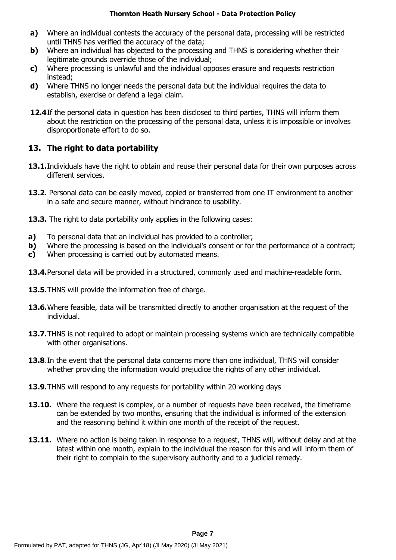- **a)** Where an individual contests the accuracy of the personal data, processing will be restricted until THNS has verified the accuracy of the data;
- **b)** Where an individual has objected to the processing and THNS is considering whether their legitimate grounds override those of the individual;
- **c)** Where processing is unlawful and the individual opposes erasure and requests restriction instead;
- **d)** Where THNS no longer needs the personal data but the individual requires the data to establish, exercise or defend a legal claim.
- **12.4**If the personal data in question has been disclosed to third parties, THNS will inform them about the restriction on the processing of the personal data, unless it is impossible or involves disproportionate effort to do so.

## **13. The right to data portability**

- **13.1.**Individuals have the right to obtain and reuse their personal data for their own purposes across different services.
- **13.2.** Personal data can be easily moved, copied or transferred from one IT environment to another in a safe and secure manner, without hindrance to usability.
- **13.3.** The right to data portability only applies in the following cases:
- **a)** To personal data that an individual has provided to a controller;
- **b)** Where the processing is based on the individual's consent or for the performance of a contract;
- **c)** When processing is carried out by automated means.
- **13.4.**Personal data will be provided in a structured, commonly used and machine-readable form.
- **13.5.**THNS will provide the information free of charge.
- **13.6.**Where feasible, data will be transmitted directly to another organisation at the request of the individual.
- **13.7.**THNS is not required to adopt or maintain processing systems which are technically compatible with other organisations.
- **13.8**.In the event that the personal data concerns more than one individual, THNS will consider whether providing the information would prejudice the rights of any other individual.
- **13.9.**THNS will respond to any requests for portability within 20 working days
- **13.10.** Where the request is complex, or a number of requests have been received, the timeframe can be extended by two months, ensuring that the individual is informed of the extension and the reasoning behind it within one month of the receipt of the request.
- **13.11.** Where no action is being taken in response to a request, THNS will, without delay and at the latest within one month, explain to the individual the reason for this and will inform them of their right to complain to the supervisory authority and to a judicial remedy.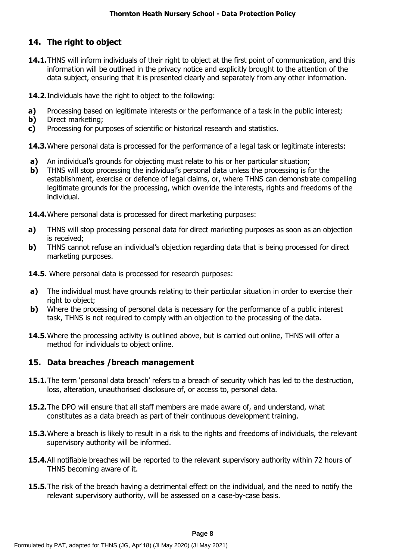# **14. The right to object**

- **14.1.**THNS will inform individuals of their right to object at the first point of communication, and this information will be outlined in the privacy notice and explicitly brought to the attention of the data subject, ensuring that it is presented clearly and separately from any other information.
- **14.2.**Individuals have the right to object to the following:
- **a)** Processing based on legitimate interests or the performance of a task in the public interest;
- **b)** Direct marketing:
- **c)** Processing for purposes of scientific or historical research and statistics.

**14.3.** Where personal data is processed for the performance of a legal task or legitimate interests:

- **a)** An individual's grounds for objecting must relate to his or her particular situation;
- **b)** THNS will stop processing the individual's personal data unless the processing is for the establishment, exercise or defence of legal claims, or, where THNS can demonstrate compelling legitimate grounds for the processing, which override the interests, rights and freedoms of the individual.

**14.4.**Where personal data is processed for direct marketing purposes:

- **a)** THNS will stop processing personal data for direct marketing purposes as soon as an objection is received;
- **b)** THNS cannot refuse an individual's objection regarding data that is being processed for direct marketing purposes.
- **14.5.** Where personal data is processed for research purposes:
- **a)** The individual must have grounds relating to their particular situation in order to exercise their right to object;
- **b)** Where the processing of personal data is necessary for the performance of a public interest task, THNS is not required to comply with an objection to the processing of the data.
- **14.5.**Where the processing activity is outlined above, but is carried out online, THNS will offer a method for individuals to object online.

### **15. Data breaches /breach management**

- **15.1.**The term 'personal data breach' refers to a breach of security which has led to the destruction, loss, alteration, unauthorised disclosure of, or access to, personal data.
- **15.2.**The DPO will ensure that all staff members are made aware of, and understand, what constitutes as a data breach as part of their continuous development training.
- **15.3.**Where a breach is likely to result in a risk to the rights and freedoms of individuals, the relevant supervisory authority will be informed.
- **15.4.**All notifiable breaches will be reported to the relevant supervisory authority within 72 hours of THNS becoming aware of it.
- **15.5.**The risk of the breach having a detrimental effect on the individual, and the need to notify the relevant supervisory authority, will be assessed on a case-by-case basis.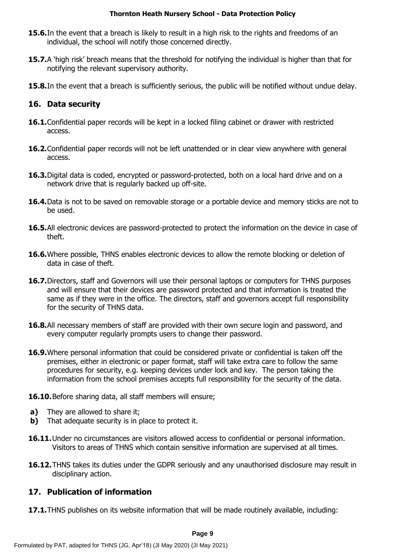- **15.6.**In the event that a breach is likely to result in a high risk to the rights and freedoms of an individual, the school will notify those concerned directly.
- **15.7.**A 'high risk' breach means that the threshold for notifying the individual is higher than that for notifying the relevant supervisory authority.
- **15.8.**In the event that a breach is sufficiently serious, the public will be notified without undue delay.

## **16. Data security**

- **16.1.**Confidential paper records will be kept in a locked filing cabinet or drawer with restricted access.
- **16.2.**Confidential paper records will not be left unattended or in clear view anywhere with general access.
- **16.3.**Digital data is coded, encrypted or password-protected, both on a local hard drive and on a network drive that is regularly backed up off-site.
- **16.4.**Data is not to be saved on removable storage or a portable device and memory sticks are not to be used.
- 16.5.All electronic devices are password-protected to protect the information on the device in case of theft.
- **16.6.**Where possible, THNS enables electronic devices to allow the remote blocking or deletion of data in case of theft.
- 16.7. Directors, staff and Governors will use their personal laptops or computers for THNS purposes and will ensure that their devices are password protected and that information is treated the same as if they were in the office. The directors, staff and governors accept full responsibility for the security of THNS data.
- **16.8.**All necessary members of staff are provided with their own secure login and password, and every computer regularly prompts users to change their password.
- **16.9.**Where personal information that could be considered private or confidential is taken off the premises, either in electronic or paper format, staff will take extra care to follow the same procedures for security, e.g. keeping devices under lock and key. The person taking the information from the school premises accepts full responsibility for the security of the data.

**16.10.**Before sharing data, all staff members will ensure;

- **a)** They are allowed to share it:
- **b)** That adequate security is in place to protect it.
- **16.11.**Under no circumstances are visitors allowed access to confidential or personal information. Visitors to areas of THNS which contain sensitive information are supervised at all times.
- **16.12.**THNS takes its duties under the GDPR seriously and any unauthorised disclosure may result in disciplinary action.

### **17. Publication of information**

**17.1.**THNS publishes on its website information that will be made routinely available, including: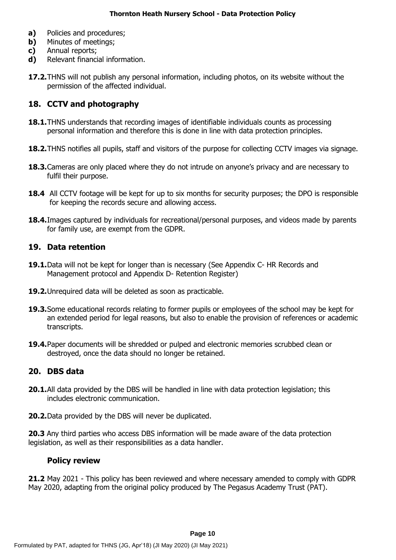- **a)** Policies and procedures;
- **b)** Minutes of meetings;
- **c)** Annual reports;
- **d)** Relevant financial information.
- **17.2.**THNS will not publish any personal information, including photos, on its website without the permission of the affected individual.

# **18. CCTV and photography**

- **18.1.**THNS understands that recording images of identifiable individuals counts as processing personal information and therefore this is done in line with data protection principles.
- **18.2.**THNS notifies all pupils, staff and visitors of the purpose for collecting CCTV images via signage.
- **18.3.**Cameras are only placed where they do not intrude on anyone's privacy and are necessary to fulfil their purpose.
- **18.4** All CCTV footage will be kept for up to six months for security purposes; the DPO is responsible for keeping the records secure and allowing access.
- **18.4.**Images captured by individuals for recreational/personal purposes, and videos made by parents for family use, are exempt from the GDPR.

### **19. Data retention**

- **19.1.**Data will not be kept for longer than is necessary (See Appendix C- HR Records and Management protocol and Appendix D- Retention Register)
- **19.2.**Unrequired data will be deleted as soon as practicable.
- **19.3.**Some educational records relating to former pupils or employees of the school may be kept for an extended period for legal reasons, but also to enable the provision of references or academic transcripts.
- **19.4.**Paper documents will be shredded or pulped and electronic memories scrubbed clean or destroyed, once the data should no longer be retained.

### **20. DBS data**

- **20.1.**All data provided by the DBS will be handled in line with data protection legislation; this includes electronic communication.
- **20.2.**Data provided by the DBS will never be duplicated.

**20.3** Any third parties who access DBS information will be made aware of the data protection legislation, as well as their responsibilities as a data handler.

### **Policy review**

**21.2** May 2021 - This policy has been reviewed and where necessary amended to comply with GDPR May 2020, adapting from the original policy produced by The Pegasus Academy Trust (PAT).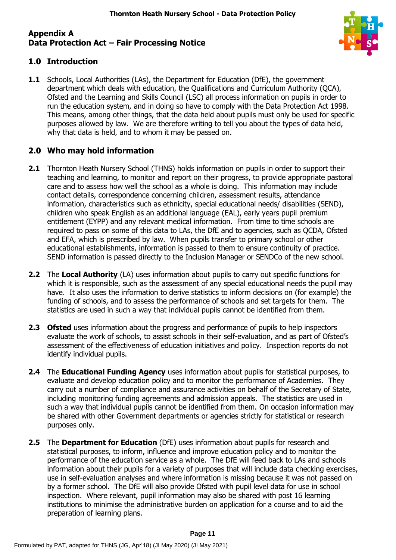### **Appendix A Data Protection Act – Fair Processing Notice**



### **1.0 Introduction**

**1.1** Schools, Local Authorities (LAs), the Department for Education (DfE), the government department which deals with education, the Qualifications and Curriculum Authority (QCA), Ofsted and the Learning and Skills Council (LSC) all process information on pupils in order to run the education system, and in doing so have to comply with the Data Protection Act 1998. This means, among other things, that the data held about pupils must only be used for specific purposes allowed by law. We are therefore writing to tell you about the types of data held, why that data is held, and to whom it may be passed on.

### **2.0 Who may hold information**

- **2.1** Thornton Heath Nursery School (THNS) holds information on pupils in order to support their teaching and learning, to monitor and report on their progress, to provide appropriate pastoral care and to assess how well the school as a whole is doing. This information may include contact details, correspondence concerning children, assessment results, attendance information, characteristics such as ethnicity, special educational needs/ disabilities (SEND), children who speak English as an additional language (EAL), early years pupil premium entitlement (EYPP) and any relevant medical information. From time to time schools are required to pass on some of this data to LAs, the DfE and to agencies, such as QCDA, Ofsted and EFA, which is prescribed by law. When pupils transfer to primary school or other educational establishments, information is passed to them to ensure continuity of practice. SEND information is passed directly to the Inclusion Manager or SENDCo of the new school.
- **2.2** The Local Authority (LA) uses information about pupils to carry out specific functions for which it is responsible, such as the assessment of any special educational needs the pupil may have. It also uses the information to derive statistics to inform decisions on (for example) the funding of schools, and to assess the performance of schools and set targets for them. The statistics are used in such a way that individual pupils cannot be identified from them.
- **2.3 Ofsted** uses information about the progress and performance of pupils to help inspectors evaluate the work of schools, to assist schools in their self-evaluation, and as part of Ofsted's assessment of the effectiveness of education initiatives and policy. Inspection reports do not identify individual pupils.
- **2.4** The **Educational Funding Agency** uses information about pupils for statistical purposes, to evaluate and develop education policy and to monitor the performance of Academies. They carry out a number of compliance and assurance activities on behalf of the Secretary of State, including monitoring funding agreements and admission appeals. The statistics are used in such a way that individual pupils cannot be identified from them. On occasion information may be shared with other Government departments or agencies strictly for statistical or research purposes only.
- **2.5** The **Department for Education** (DfE) uses information about pupils for research and statistical purposes, to inform, influence and improve education policy and to monitor the performance of the education service as a whole. The DfE will feed back to LAs and schools information about their pupils for a variety of purposes that will include data checking exercises, use in self-evaluation analyses and where information is missing because it was not passed on by a former school. The DfE will also provide Ofsted with pupil level data for use in school inspection. Where relevant, pupil information may also be shared with post 16 learning institutions to minimise the administrative burden on application for a course and to aid the preparation of learning plans.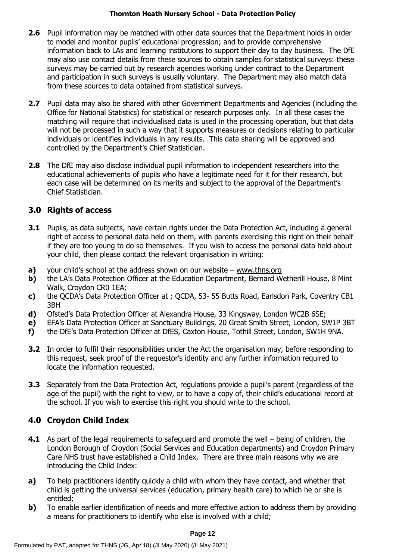- **2.6** Pupil information may be matched with other data sources that the Department holds in order to model and monitor pupils' educational progression; and to provide comprehensive information back to LAs and learning institutions to support their day to day business. The DfE may also use contact details from these sources to obtain samples for statistical surveys: these surveys may be carried out by research agencies working under contract to the Department and participation in such surveys is usually voluntary. The Department may also match data from these sources to data obtained from statistical surveys.
- **2.7** Pupil data may also be shared with other Government Departments and Agencies (including the Office for National Statistics) for statistical or research purposes only. In all these cases the matching will require that individualised data is used in the processing operation, but that data will not be processed in such a way that it supports measures or decisions relating to particular individuals or identifies individuals in any results. This data sharing will be approved and controlled by the Department's Chief Statistician.
- **2.8** The DfE may also disclose individual pupil information to independent researchers into the educational achievements of pupils who have a legitimate need for it for their research, but each case will be determined on its merits and subject to the approval of the Department's Chief Statistician.

## **3.0 Rights of access**

- **3.1** Pupils, as data subjects, have certain rights under the Data Protection Act, including a general right of access to personal data held on them, with parents exercising this right on their behalf if they are too young to do so themselves. If you wish to access the personal data held about your child, then please contact the relevant organisation in writing:
- **a)** your child's school at the address shown on our website [www.thns.org](http://www.thns.org/)
- **b)** the LA's Data Protection Officer at the Education Department, Bernard Wetherill House, 8 Mint Walk, Croydon CR0 1EA;
- **c)** the QCDA's Data Protection Officer at ; QCDA, 53- 55 Butts Road, Earlsdon Park, Coventry CB1 3BH
- **d)** Ofsted's Data Protection Officer at Alexandra House, 33 Kingsway, London WC2B 6SE;
- **e)** EFA's Data Protection Officer at Sanctuary Buildings, 20 Great Smith Street, London, SW1P 3BT
- **f)** the DfE's Data Protection Officer at DfES, Caxton House, Tothill Street, London, SW1H 9NA.
- **3.2** In order to fulfil their responsibilities under the Act the organisation may, before responding to this request, seek proof of the requestor's identity and any further information required to locate the information requested.
- **3.3** Separately from the Data Protection Act, regulations provide a pupil's parent (regardless of the age of the pupil) with the right to view, or to have a copy of, their child's educational record at the school. If you wish to exercise this right you should write to the school.

# **4.0 Croydon Child Index**

- **4.1** As part of the legal requirements to safeguard and promote the well being of children, the London Borough of Croydon (Social Services and Education departments) and Croydon Primary Care NHS trust have established a Child Index. There are three main reasons why we are introducing the Child Index:
- **a)** To help practitioners identify quickly a child with whom they have contact, and whether that child is getting the universal services (education, primary health care) to which he or she is entitled;
- **b)** To enable earlier identification of needs and more effective action to address them by providing a means for practitioners to identify who else is involved with a child;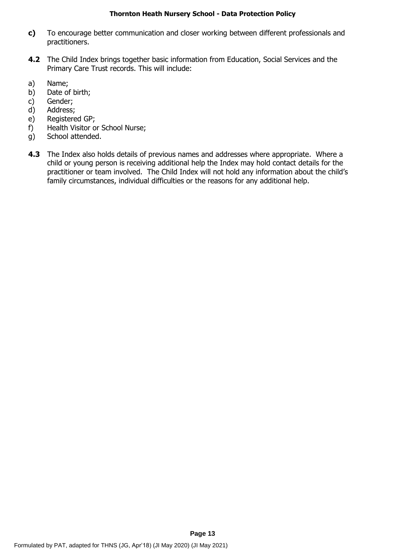- **c)** To encourage better communication and closer working between different professionals and practitioners.
- **4.2** The Child Index brings together basic information from Education, Social Services and the Primary Care Trust records. This will include:
- a) Name;
- b) Date of birth;
- c) Gender;
- d) Address;
- e) Registered GP;
- f) Health Visitor or School Nurse;
- g) School attended.
- **4.3** The Index also holds details of previous names and addresses where appropriate. Where a child or young person is receiving additional help the Index may hold contact details for the practitioner or team involved. The Child Index will not hold any information about the child's family circumstances, individual difficulties or the reasons for any additional help.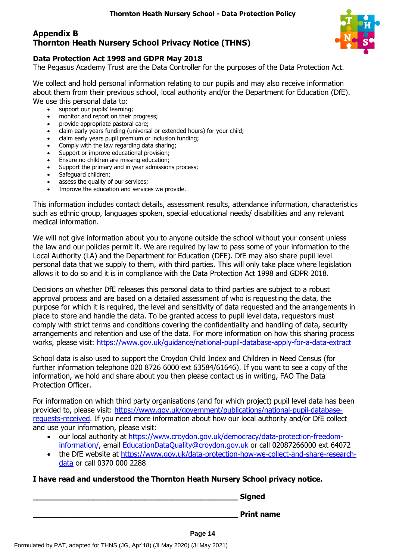## **Appendix B Thornton Heath Nursery School Privacy Notice (THNS)**



### **Data Protection Act 1998 and GDPR May 2018**

The Pegasus Academy Trust are the Data Controller for the purposes of the Data Protection Act.

We collect and hold personal information relating to our pupils and may also receive information about them from their previous school, local authority and/or the Department for Education (DfE). We use this personal data to:

- support our pupils' learning;
	- monitor and report on their progress;
	- provide appropriate pastoral care;
	- claim early years funding (universal or extended hours) for your child;
	- claim early years pupil premium or inclusion funding;
	- Comply with the law regarding data sharing;
	- Support or improve educational provision;
	- Ensure no children are missing education;
	- Support the primary and in year admissions process;
	- Safeguard children;
	- assess the quality of our services;
	- Improve the education and services we provide.

This information includes contact details, assessment results, attendance information, characteristics such as ethnic group, languages spoken, special educational needs/ disabilities and any relevant medical information.

We will not give information about you to anyone outside the school without your consent unless the law and our policies permit it. We are required by law to pass some of your information to the Local Authority (LA) and the Department for Education (DFE). DfE may also share pupil level personal data that we supply to them, with third parties. This will only take place where legislation allows it to do so and it is in compliance with the Data Protection Act 1998 and GDPR 2018.

Decisions on whether DfE releases this personal data to third parties are subject to a robust approval process and are based on a detailed assessment of who is requesting the data, the purpose for which it is required, the level and sensitivity of data requested and the arrangements in place to store and handle the data. To be granted access to pupil level data, requestors must comply with strict terms and conditions covering the confidentiality and handling of data, security arrangements and retention and use of the data. For more information on how this sharing process works, please visit:<https://www.gov.uk/guidance/national-pupil-database-apply-for-a-data-extract>

School data is also used to support the Croydon Child Index and Children in Need Census (for further information telephone 020 8726 6000 ext 63584/61646). If you want to see a copy of the information, we hold and share about you then please contact us in writing, FAO The Data Protection Officer.

For information on which third party organisations (and for which project) pupil level data has been provided to, please visit: [https://www.gov.uk/government/publications/national-pupil-database](https://www.gov.uk/government/publications/national-pupil-database-requests-received)[requests-received.](https://www.gov.uk/government/publications/national-pupil-database-requests-received) If you need more information about how our local authority and/or DfE collect and use your information, please visit:

- our local authority at [https://www.croydon.gov.uk/democracy/data-protection-freedom](https://www.croydon.gov.uk/democracy/data-protection-freedom-information/)[information/,](https://www.croydon.gov.uk/democracy/data-protection-freedom-information/) email [EducationDataQuality@croydon.gov.uk](mailto:EducationDataQuality@croydon.gov.uk) or call 02087266000 ext 64072
- the DfE website at [https://www.gov.uk/data-protection-how-we-collect-and-share-research](https://www.gov.uk/data-protection-how-we-collect-and-share-research-data)[data](https://www.gov.uk/data-protection-how-we-collect-and-share-research-data) or call 0370 000 2288

### **I have read and understood the Thornton Heath Nursery School privacy notice.**

**\_\_\_\_\_\_\_\_\_\_\_\_\_\_\_\_\_\_\_\_\_\_\_\_\_\_\_\_\_\_\_\_\_\_\_\_\_\_\_\_\_\_\_\_ Signed \_\_\_\_\_\_\_\_\_\_\_\_\_\_\_\_\_\_\_\_\_\_\_\_\_\_\_\_\_\_\_\_\_\_\_\_\_\_\_\_\_\_\_\_ Print name**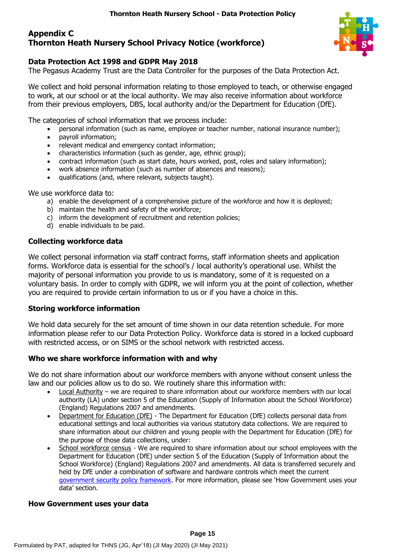### **Appendix C Thornton Heath Nursery School Privacy Notice (workforce)**



### **Data Protection Act 1998 and GDPR May 2018**

The Pegasus Academy Trust are the Data Controller for the purposes of the Data Protection Act.

We collect and hold personal information relating to those employed to teach, or otherwise engaged to work, at our school or at the local authority. We may also receive information about workforce from their previous employers, DBS, local authority and/or the Department for Education (DfE).

The categories of school information that we process include:

- personal information (such as name, employee or teacher number, national insurance number);
- payroll information;
- relevant medical and emergency contact information;
- characteristics information (such as gender, age, ethnic group);
- contract information (such as start date, hours worked, post, roles and salary information);
- work absence information (such as number of absences and reasons);
- qualifications (and, where relevant, subjects taught).

We use workforce data to:

- a) enable the development of a comprehensive picture of the workforce and how it is deployed;
- b) maintain the health and safety of the workforce;
- c) inform the development of recruitment and retention policies;
- d) enable individuals to be paid.

#### **Collecting workforce data**

We collect personal information via staff contract forms, staff information sheets and application forms. Workforce data is essential for the school's / local authority's operational use. Whilst the majority of personal information you provide to us is mandatory, some of it is requested on a voluntary basis. In order to comply with GDPR, we will inform you at the point of collection, whether you are required to provide certain information to us or if you have a choice in this.

#### **Storing workforce information**

We hold data securely for the set amount of time shown in our data retention schedule. For more information please refer to our Data Protection Policy. Workforce data is stored in a locked cupboard with restricted access, or on SIMS or the school network with restricted access.

#### **Who we share workforce information with and why**

We do not share information about our workforce members with anyone without consent unless the law and our policies allow us to do so. We routinely share this information with:

- Local Authority we are required to share information about our workforce members with our local authority (LA) under section 5 of the Education (Supply of Information about the School Workforce) (England) Regulations 2007 and amendments.
- Department for Education (DfE) The Department for Education (DfE) collects personal data from educational settings and local authorities via various statutory data collections. We are required to share information about our children and young people with the Department for Education (DfE) for the purpose of those data collections, under:
- School workforce census We are required to share information about our school employees with the Department for Education (DfE) under section 5 of the Education (Supply of Information about the School Workforce) (England) Regulations 2007 and amendments. All data is transferred securely and held by DfE under a combination of software and hardware controls which meet the current [government security policy framework.](https://www.gov.uk/government/publications/security-policy-framework) For more information, please see 'How Government uses your data' section.

#### **How Government uses your data**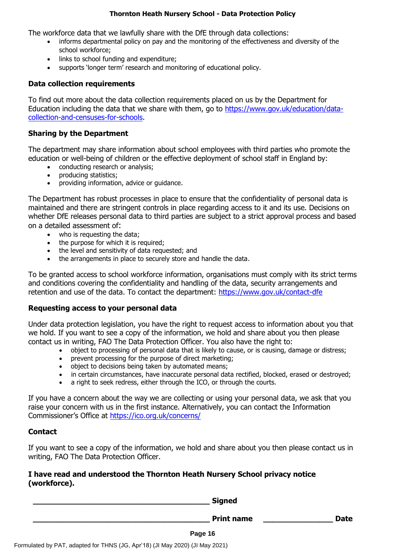The workforce data that we lawfully share with the DfE through data collections:

- informs departmental policy on pay and the monitoring of the effectiveness and diversity of the school workforce;
- links to school funding and expenditure;
- supports 'longer term' research and monitoring of educational policy.

### **Data collection requirements**

To find out more about the data collection requirements placed on us by the Department for Education including the data that we share with them, go to [https://www.gov.uk/education/data](https://www.gov.uk/education/data-collection-and-censuses-for-schools)[collection-and-censuses-for-schools.](https://www.gov.uk/education/data-collection-and-censuses-for-schools)

### **Sharing by the Department**

The department may share information about school employees with third parties who promote the education or well-being of children or the effective deployment of school staff in England by:

- conducting research or analysis;
- producing statistics;
- providing information, advice or guidance.

The Department has robust processes in place to ensure that the confidentiality of personal data is maintained and there are stringent controls in place regarding access to it and its use. Decisions on whether DfE releases personal data to third parties are subject to a strict approval process and based on a detailed assessment of:

- who is requesting the data;
- the purpose for which it is required;
- the level and sensitivity of data requested; and
- the arrangements in place to securely store and handle the data.

To be granted access to school workforce information, organisations must comply with its strict terms and conditions covering the confidentiality and handling of the data, security arrangements and retention and use of the data. To contact the department:<https://www.gov.uk/contact-dfe>

#### **Requesting access to your personal data**

Under data protection legislation, you have the right to request access to information about you that we hold. If you want to see a copy of the information, we hold and share about you then please contact us in writing, FAO The Data Protection Officer. You also have the right to:

- object to processing of personal data that is likely to cause, or is causing, damage or distress;
- prevent processing for the purpose of direct marketing;
- object to decisions being taken by automated means;
- in certain circumstances, have inaccurate personal data rectified, blocked, erased or destroyed;
- a right to seek redress, either through the ICO, or through the courts.

If you have a concern about the way we are collecting or using your personal data, we ask that you raise your concern with us in the first instance. Alternatively, you can contact the Information Commissioner's Office at <https://ico.org.uk/concerns/>

### **Contact**

If you want to see a copy of the information, we hold and share about you then please contact us in writing, FAO The Data Protection Officer.

### **I have read and understood the Thornton Heath Nursery School privacy notice (workforce).**

**\_\_\_\_\_\_\_\_\_\_\_\_\_\_\_\_\_\_\_\_\_\_\_\_\_\_\_\_\_\_\_\_\_\_\_\_\_\_ Signed**

**Print name and Date**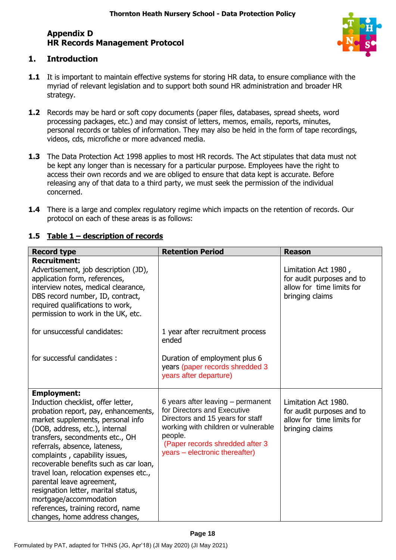# **Appendix D HR Records Management Protocol**



## **1. Introduction**

- **1.1** It is important to maintain effective systems for storing HR data, to ensure compliance with the myriad of relevant legislation and to support both sound HR administration and broader HR strategy.
- **1.2** Records may be hard or soft copy documents (paper files, databases, spread sheets, word processing packages, etc.) and may consist of letters, memos, emails, reports, minutes, personal records or tables of information. They may also be held in the form of tape recordings, videos, cds, microfiche or more advanced media.
- **1.3** The Data Protection Act 1998 applies to most HR records. The Act stipulates that data must not be kept any longer than is necessary for a particular purpose. Employees have the right to access their own records and we are obliged to ensure that data kept is accurate. Before releasing any of that data to a third party, we must seek the permission of the individual concerned.
- **1.4** There is a large and complex regulatory regime which impacts on the retention of records. Our protocol on each of these areas is as follows:

| <b>Record type</b>                                                                                                                                                                                                                                                                                                                                                                                                                                                                                                                     | <b>Retention Period</b>                                                                                                                                                                                                     | <b>Reason</b>                                                                                     |
|----------------------------------------------------------------------------------------------------------------------------------------------------------------------------------------------------------------------------------------------------------------------------------------------------------------------------------------------------------------------------------------------------------------------------------------------------------------------------------------------------------------------------------------|-----------------------------------------------------------------------------------------------------------------------------------------------------------------------------------------------------------------------------|---------------------------------------------------------------------------------------------------|
| <b>Recruitment:</b><br>Advertisement, job description (JD),<br>application form, references,<br>interview notes, medical clearance,<br>DBS record number, ID, contract,<br>required qualifications to work,<br>permission to work in the UK, etc.                                                                                                                                                                                                                                                                                      |                                                                                                                                                                                                                             | Limitation Act 1980,<br>for audit purposes and to<br>allow for time limits for<br>bringing claims |
| for unsuccessful candidates:                                                                                                                                                                                                                                                                                                                                                                                                                                                                                                           | 1 year after recruitment process<br>ended                                                                                                                                                                                   |                                                                                                   |
| for successful candidates:                                                                                                                                                                                                                                                                                                                                                                                                                                                                                                             | Duration of employment plus 6<br>years (paper records shredded 3<br>years after departure)                                                                                                                                  |                                                                                                   |
| <b>Employment:</b><br>Induction checklist, offer letter,<br>probation report, pay, enhancements,<br>market supplements, personal info<br>(DOB, address, etc.), internal<br>transfers, secondments etc., OH<br>referrals, absence, lateness,<br>complaints, capability issues,<br>recoverable benefits such as car loan,<br>travel loan, relocation expenses etc.,<br>parental leave agreement,<br>resignation letter, marital status,<br>mortgage/accommodation<br>references, training record, name<br>changes, home address changes, | 6 years after leaving - permanent<br>for Directors and Executive<br>Directors and 15 years for staff<br>working with children or vulnerable<br>people.<br>(Paper records shredded after 3<br>years – electronic thereafter) | Limitation Act 1980.<br>for audit purposes and to<br>allow for time limits for<br>bringing claims |

### **1.5 Table 1 – description of records**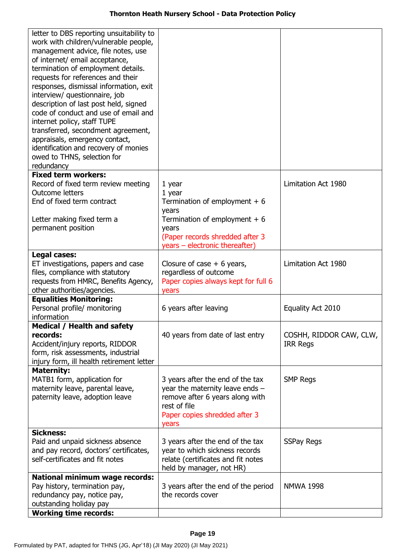| letter to DBS reporting unsuitability to<br>work with children/vulnerable people,<br>management advice, file notes, use<br>of internet/ email acceptance,<br>termination of employment details.<br>requests for references and their<br>responses, dismissal information, exit<br>interview/ questionnaire, job<br>description of last post held, signed<br>code of conduct and use of email and<br>internet policy, staff TUPE<br>transferred, secondment agreement,<br>appraisals, emergency contact,<br>identification and recovery of monies<br>owed to THNS, selection for<br>redundancy |                                                                                                                                                                                |                                            |
|-----------------------------------------------------------------------------------------------------------------------------------------------------------------------------------------------------------------------------------------------------------------------------------------------------------------------------------------------------------------------------------------------------------------------------------------------------------------------------------------------------------------------------------------------------------------------------------------------|--------------------------------------------------------------------------------------------------------------------------------------------------------------------------------|--------------------------------------------|
| <b>Fixed term workers:</b><br>Record of fixed term review meeting<br><b>Outcome letters</b><br>End of fixed term contract<br>Letter making fixed term a<br>permanent position                                                                                                                                                                                                                                                                                                                                                                                                                 | $1$ year<br>1 year<br>Termination of employment $+6$<br>years<br>Termination of employment $+6$<br>years<br>(Paper records shredded after 3)<br>years - electronic thereafter) | Limitation Act 1980                        |
| Legal cases:<br>ET investigations, papers and case<br>files, compliance with statutory<br>requests from HMRC, Benefits Agency,<br>other authorities/agencies.                                                                                                                                                                                                                                                                                                                                                                                                                                 | Closure of case $+6$ years,<br>regardless of outcome<br>Paper copies always kept for full 6<br>years                                                                           | Limitation Act 1980                        |
| <b>Equalities Monitoring:</b><br>Personal profile/ monitoring<br>information                                                                                                                                                                                                                                                                                                                                                                                                                                                                                                                  | 6 years after leaving                                                                                                                                                          | Equality Act 2010                          |
| Medical / Health and safety<br>records:<br>Accident/injury reports, RIDDOR<br>form, risk assessments, industrial<br>injury form, ill health retirement letter                                                                                                                                                                                                                                                                                                                                                                                                                                 | 40 years from date of last entry                                                                                                                                               | COSHH, RIDDOR CAW, CLW,<br><b>IRR Regs</b> |
| <b>Maternity:</b><br>MATB1 form, application for<br>maternity leave, parental leave,<br>paternity leave, adoption leave                                                                                                                                                                                                                                                                                                                                                                                                                                                                       | 3 years after the end of the tax<br>year the maternity leave ends $-$<br>remove after 6 years along with<br>rest of file<br>Paper copies shredded after 3<br>years             | <b>SMP Regs</b>                            |
| <b>Sickness:</b><br>Paid and unpaid sickness absence<br>and pay record, doctors' certificates,<br>self-certificates and fit notes                                                                                                                                                                                                                                                                                                                                                                                                                                                             | 3 years after the end of the tax<br>year to which sickness records<br>relate (certificates and fit notes<br>held by manager, not HR)                                           | <b>SSPay Regs</b>                          |
| <b>National minimum wage records:</b><br>Pay history, termination pay,<br>redundancy pay, notice pay,<br>outstanding holiday pay<br><b>Working time records:</b>                                                                                                                                                                                                                                                                                                                                                                                                                              | 3 years after the end of the period<br>the records cover                                                                                                                       | <b>NMWA 1998</b>                           |
|                                                                                                                                                                                                                                                                                                                                                                                                                                                                                                                                                                                               |                                                                                                                                                                                |                                            |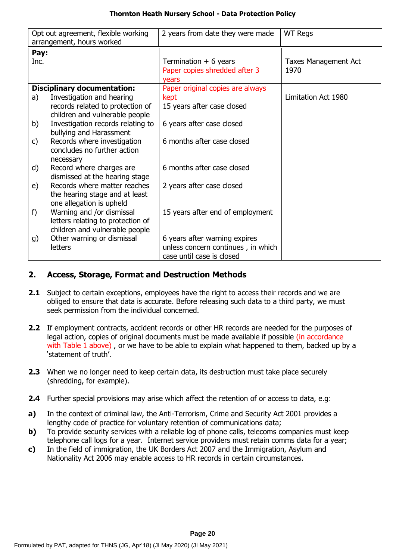|      | Opt out agreement, flexible working                   | 2 years from date they were made   | <b>WT Regs</b>       |
|------|-------------------------------------------------------|------------------------------------|----------------------|
|      | arrangement, hours worked                             |                                    |                      |
| Pay: |                                                       |                                    |                      |
| Inc. |                                                       | Termination $+6$ years             | Taxes Management Act |
|      |                                                       | Paper copies shredded after 3      | 1970                 |
|      |                                                       | vears                              |                      |
|      | <b>Disciplinary documentation:</b>                    | Paper original copies are always   |                      |
| a)   | Investigation and hearing                             | kept                               | Limitation Act 1980  |
|      | records related to protection of                      | 15 years after case closed         |                      |
|      | children and vulnerable people                        |                                    |                      |
| b)   | Investigation records relating to                     | 6 years after case closed          |                      |
|      | bullying and Harassment                               |                                    |                      |
| C)   | Records where investigation                           | 6 months after case closed         |                      |
|      | concludes no further action                           |                                    |                      |
|      | necessary                                             |                                    |                      |
| d)   | Record where charges are                              | 6 months after case closed         |                      |
|      | dismissed at the hearing stage                        |                                    |                      |
| e)   | Records where matter reaches                          | 2 years after case closed          |                      |
|      | the hearing stage and at least                        |                                    |                      |
| f)   | one allegation is upheld<br>Warning and /or dismissal | 15 years after end of employment   |                      |
|      | letters relating to protection of                     |                                    |                      |
|      | children and vulnerable people                        |                                    |                      |
| g)   | Other warning or dismissal                            | 6 years after warning expires      |                      |
|      | letters                                               | unless concern continues, in which |                      |
|      |                                                       | case until case is closed          |                      |
|      |                                                       |                                    |                      |

### **2. Access, Storage, Format and Destruction Methods**

- **2.1** Subject to certain exceptions, employees have the right to access their records and we are obliged to ensure that data is accurate. Before releasing such data to a third party, we must seek permission from the individual concerned.
- **2.2** If employment contracts, accident records or other HR records are needed for the purposes of legal action, copies of original documents must be made available if possible (in accordance with Table 1 above), or we have to be able to explain what happened to them, backed up by a 'statement of truth'.
- **2.3** When we no longer need to keep certain data, its destruction must take place securely (shredding, for example).
- **2.4** Further special provisions may arise which affect the retention of or access to data, e.g:
- **a)** In the context of criminal law, the Anti-Terrorism, Crime and Security Act 2001 provides a lengthy code of practice for voluntary retention of communications data;
- **b)** To provide security services with a reliable log of phone calls, telecoms companies must keep telephone call logs for a year. Internet service providers must retain comms data for a year;
- **c)** In the field of immigration, the UK Borders Act 2007 and the Immigration, Asylum and Nationality Act 2006 may enable access to HR records in certain circumstances.